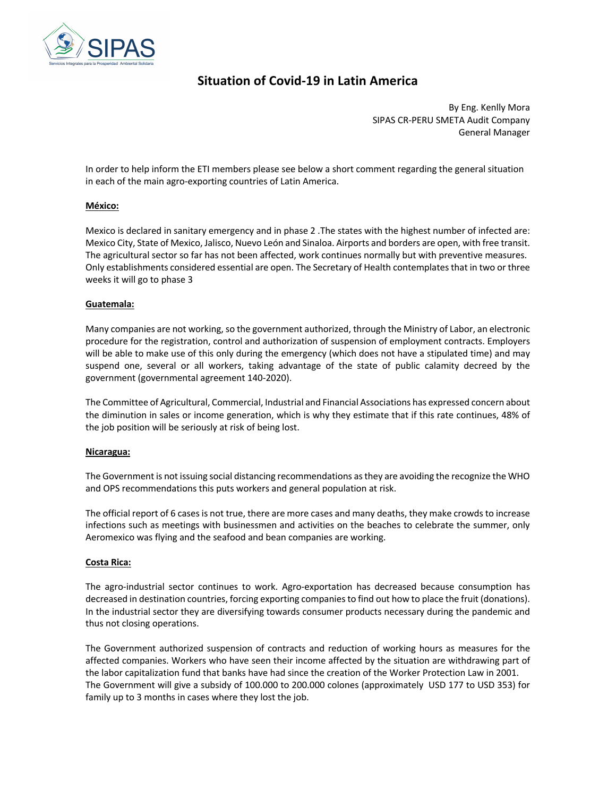

# **Situation of Covid-19 in Latin America**

By Eng. Kenlly Mora SIPAS CR-PERU SMETA Audit Company General Manager

In order to help inform the ETI members please see below a short comment regarding the general situation in each of the main agro-exporting countries of Latin America.

# **México:**

Mexico is declared in sanitary emergency and in phase 2 .The states with the highest number of infected are: Mexico City, State of Mexico, Jalisco, Nuevo León and Sinaloa. Airports and borders are open, with free transit. The agricultural sector so far has not been affected, work continues normally but with preventive measures. Only establishments considered essential are open. The Secretary of Health contemplates that in two or three weeks it will go to phase 3

## **Guatemala:**

Many companies are not working, so the government authorized, through the Ministry of Labor, an electronic procedure for the registration, control and authorization of suspension of employment contracts. Employers will be able to make use of this only during the emergency (which does not have a stipulated time) and may suspend one, several or all workers, taking advantage of the state of public calamity decreed by the government (governmental agreement 140-2020).

The Committee of Agricultural, Commercial, Industrial and Financial Associations has expressed concern about the diminution in sales or income generation, which is why they estimate that if this rate continues, 48% of the job position will be seriously at risk of being lost.

#### **Nicaragua:**

The Government is not issuing social distancing recommendations as they are avoiding the recognize the WHO and OPS recommendations this puts workers and general population at risk.

The official report of 6 cases is not true, there are more cases and many deaths, they make crowds to increase infections such as meetings with businessmen and activities on the beaches to celebrate the summer, only Aeromexico was flying and the seafood and bean companies are working.

# **Costa Rica:**

The agro-industrial sector continues to work. Agro-exportation has decreased because consumption has decreased in destination countries, forcing exporting companies to find out how to place the fruit (donations). In the industrial sector they are diversifying towards consumer products necessary during the pandemic and thus not closing operations.

The Government authorized suspension of contracts and reduction of working hours as measures for the affected companies. Workers who have seen their income affected by the situation are withdrawing part of the labor capitalization fund that banks have had since the creation of the Worker Protection Law in 2001. The Government will give a subsidy of 100.000 to 200.000 colones (approximately USD 177 to USD 353) for family up to 3 months in cases where they lost the job.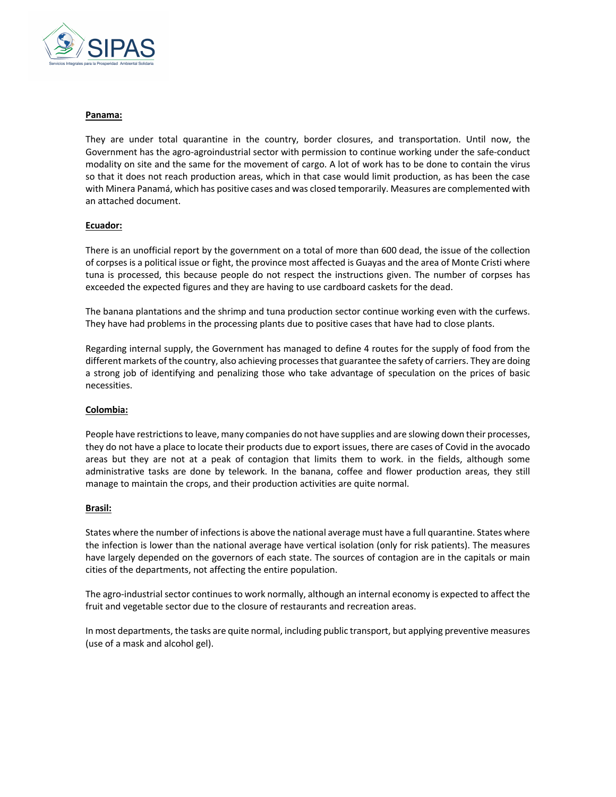

#### **Panama:**

They are under total quarantine in the country, border closures, and transportation. Until now, the Government has the agro-agroindustrial sector with permission to continue working under the safe-conduct modality on site and the same for the movement of cargo. A lot of work has to be done to contain the virus so that it does not reach production areas, which in that case would limit production, as has been the case with Minera Panamá, which has positive cases and was closed temporarily. Measures are complemented with an attached document.

# **Ecuador:**

There is an unofficial report by the government on a total of more than 600 dead, the issue of the collection of corpses is a political issue or fight, the province most affected is Guayas and the area of Monte Cristi where tuna is processed, this because people do not respect the instructions given. The number of corpses has exceeded the expected figures and they are having to use cardboard caskets for the dead.

The banana plantations and the shrimp and tuna production sector continue working even with the curfews. They have had problems in the processing plants due to positive cases that have had to close plants.

Regarding internal supply, the Government has managed to define 4 routes for the supply of food from the different markets of the country, also achieving processes that guarantee the safety of carriers. They are doing a strong job of identifying and penalizing those who take advantage of speculation on the prices of basic necessities.

# **Colombia:**

People have restrictions to leave, many companies do not have supplies and are slowing down their processes, they do not have a place to locate their products due to export issues, there are cases of Covid in the avocado areas but they are not at a peak of contagion that limits them to work. in the fields, although some administrative tasks are done by telework. In the banana, coffee and flower production areas, they still manage to maintain the crops, and their production activities are quite normal.

# **Brasil:**

States where the number of infections is above the national average must have a full quarantine. States where the infection is lower than the national average have vertical isolation (only for risk patients). The measures have largely depended on the governors of each state. The sources of contagion are in the capitals or main cities of the departments, not affecting the entire population.

The agro-industrial sector continues to work normally, although an internal economy is expected to affect the fruit and vegetable sector due to the closure of restaurants and recreation areas.

In most departments, the tasks are quite normal, including public transport, but applying preventive measures (use of a mask and alcohol gel).